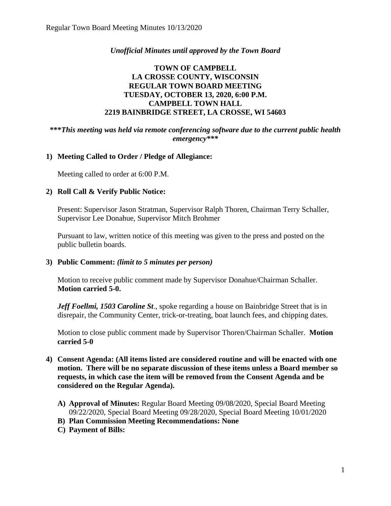## *Unofficial Minutes until approved by the Town Board*

# **TOWN OF CAMPBELL LA CROSSE COUNTY, WISCONSIN REGULAR TOWN BOARD MEETING TUESDAY, OCTOBER 13, 2020, 6:00 P.M. CAMPBELL TOWN HALL 2219 BAINBRIDGE STREET, LA CROSSE, WI 54603**

#### **\*\*\****This meeting was held via remote conferencing software due to the current public health emergency\*\*\**

#### **1) Meeting Called to Order / Pledge of Allegiance:**

Meeting called to order at 6:00 P.M.

#### **2) Roll Call & Verify Public Notice:**

Present: Supervisor Jason Stratman, Supervisor Ralph Thoren, Chairman Terry Schaller, Supervisor Lee Donahue, Supervisor Mitch Brohmer

Pursuant to law, written notice of this meeting was given to the press and posted on the public bulletin boards.

#### **3) Public Comment:** *(limit to 5 minutes per person)*

Motion to receive public comment made by Supervisor Donahue/Chairman Schaller. **Motion carried 5-0.**

*Jeff Foellmi, 1503 Caroline St*., spoke regarding a house on Bainbridge Street that is in disrepair, the Community Center, trick-or-treating, boat launch fees, and chipping dates.

Motion to close public comment made by Supervisor Thoren/Chairman Schaller. **Motion carried 5-0**

- **4) Consent Agenda: (All items listed are considered routine and will be enacted with one motion. There will be no separate discussion of these items unless a Board member so requests, in which case the item will be removed from the Consent Agenda and be considered on the Regular Agenda).**
	- **A) Approval of Minutes:** Regular Board Meeting 09/08/2020, Special Board Meeting 09/22/2020, Special Board Meeting 09/28/2020, Special Board Meeting 10/01/2020
	- **B) Plan Commission Meeting Recommendations: None**
	- **C) Payment of Bills:**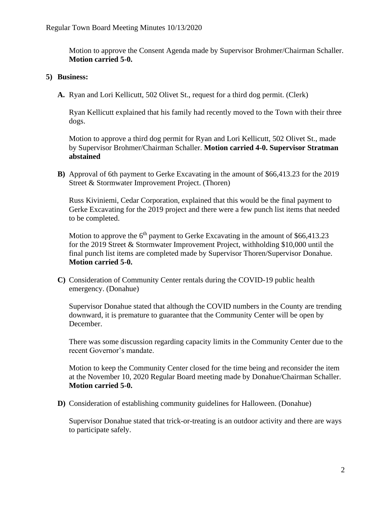Motion to approve the Consent Agenda made by Supervisor Brohmer/Chairman Schaller. **Motion carried 5-0.**

### **5) Business:**

**A.** Ryan and Lori Kellicutt, 502 Olivet St., request for a third dog permit. (Clerk)

Ryan Kellicutt explained that his family had recently moved to the Town with their three dogs.

Motion to approve a third dog permit for Ryan and Lori Kellicutt, 502 Olivet St., made by Supervisor Brohmer/Chairman Schaller. **Motion carried 4-0. Supervisor Stratman abstained**

**B)** Approval of 6th payment to Gerke Excavating in the amount of \$66,413.23 for the 2019 Street & Stormwater Improvement Project. (Thoren)

Russ Kiviniemi, Cedar Corporation, explained that this would be the final payment to Gerke Excavating for the 2019 project and there were a few punch list items that needed to be completed.

Motion to approve the  $6<sup>th</sup>$  payment to Gerke Excavating in the amount of \$66,413.23 for the 2019 Street & Stormwater Improvement Project, withholding \$10,000 until the final punch list items are completed made by Supervisor Thoren/Supervisor Donahue. **Motion carried 5-0.**

**C)** Consideration of Community Center rentals during the COVID-19 public health emergency. (Donahue)

Supervisor Donahue stated that although the COVID numbers in the County are trending downward, it is premature to guarantee that the Community Center will be open by December.

There was some discussion regarding capacity limits in the Community Center due to the recent Governor's mandate.

Motion to keep the Community Center closed for the time being and reconsider the item at the November 10, 2020 Regular Board meeting made by Donahue/Chairman Schaller. **Motion carried 5-0.** 

**D)** Consideration of establishing community guidelines for Halloween. (Donahue)

Supervisor Donahue stated that trick-or-treating is an outdoor activity and there are ways to participate safely.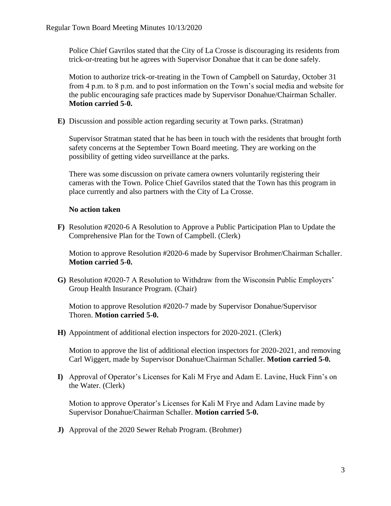Police Chief Gavrilos stated that the City of La Crosse is discouraging its residents from trick-or-treating but he agrees with Supervisor Donahue that it can be done safely.

Motion to authorize trick-or-treating in the Town of Campbell on Saturday, October 31 from 4 p.m. to 8 p.m. and to post information on the Town's social media and website for the public encouraging safe practices made by Supervisor Donahue/Chairman Schaller. **Motion carried 5-0.**

**E)** Discussion and possible action regarding security at Town parks. (Stratman)

Supervisor Stratman stated that he has been in touch with the residents that brought forth safety concerns at the September Town Board meeting. They are working on the possibility of getting video surveillance at the parks.

There was some discussion on private camera owners voluntarily registering their cameras with the Town. Police Chief Gavrilos stated that the Town has this program in place currently and also partners with the City of La Crosse.

## **No action taken**

**F)** Resolution #2020-6 A Resolution to Approve a Public Participation Plan to Update the Comprehensive Plan for the Town of Campbell. (Clerk)

Motion to approve Resolution #2020-6 made by Supervisor Brohmer/Chairman Schaller. **Motion carried 5-0.** 

**G)** Resolution #2020-7 A Resolution to Withdraw from the Wisconsin Public Employers' Group Health Insurance Program. (Chair)

Motion to approve Resolution #2020-7 made by Supervisor Donahue/Supervisor Thoren. **Motion carried 5-0.**

**H)** Appointment of additional election inspectors for 2020-2021. (Clerk)

Motion to approve the list of additional election inspectors for 2020-2021, and removing Carl Wiggert, made by Supervisor Donahue/Chairman Schaller. **Motion carried 5-0.**

**I)** Approval of Operator's Licenses for Kali M Frye and Adam E. Lavine, Huck Finn's on the Water. (Clerk)

Motion to approve Operator's Licenses for Kali M Frye and Adam Lavine made by Supervisor Donahue/Chairman Schaller. **Motion carried 5-0.**

**J)** Approval of the 2020 Sewer Rehab Program. (Brohmer)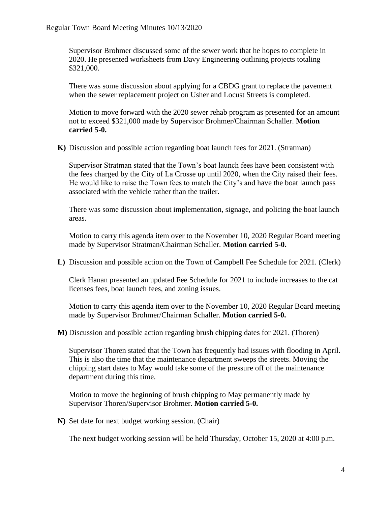Supervisor Brohmer discussed some of the sewer work that he hopes to complete in 2020. He presented worksheets from Davy Engineering outlining projects totaling \$321,000.

There was some discussion about applying for a CBDG grant to replace the pavement when the sewer replacement project on Usher and Locust Streets is completed.

Motion to move forward with the 2020 sewer rehab program as presented for an amount not to exceed \$321,000 made by Supervisor Brohmer/Chairman Schaller. **Motion carried 5-0.**

**K)** Discussion and possible action regarding boat launch fees for 2021. (Stratman)

Supervisor Stratman stated that the Town's boat launch fees have been consistent with the fees charged by the City of La Crosse up until 2020, when the City raised their fees. He would like to raise the Town fees to match the City's and have the boat launch pass associated with the vehicle rather than the trailer.

There was some discussion about implementation, signage, and policing the boat launch areas.

Motion to carry this agenda item over to the November 10, 2020 Regular Board meeting made by Supervisor Stratman/Chairman Schaller. **Motion carried 5-0.**

**L)** Discussion and possible action on the Town of Campbell Fee Schedule for 2021. (Clerk)

Clerk Hanan presented an updated Fee Schedule for 2021 to include increases to the cat licenses fees, boat launch fees, and zoning issues.

Motion to carry this agenda item over to the November 10, 2020 Regular Board meeting made by Supervisor Brohmer/Chairman Schaller. **Motion carried 5-0.**

**M)** Discussion and possible action regarding brush chipping dates for 2021. (Thoren)

Supervisor Thoren stated that the Town has frequently had issues with flooding in April. This is also the time that the maintenance department sweeps the streets. Moving the chipping start dates to May would take some of the pressure off of the maintenance department during this time.

Motion to move the beginning of brush chipping to May permanently made by Supervisor Thoren/Supervisor Brohmer. **Motion carried 5-0.**

**N)** Set date for next budget working session. (Chair)

The next budget working session will be held Thursday, October 15, 2020 at 4:00 p.m.